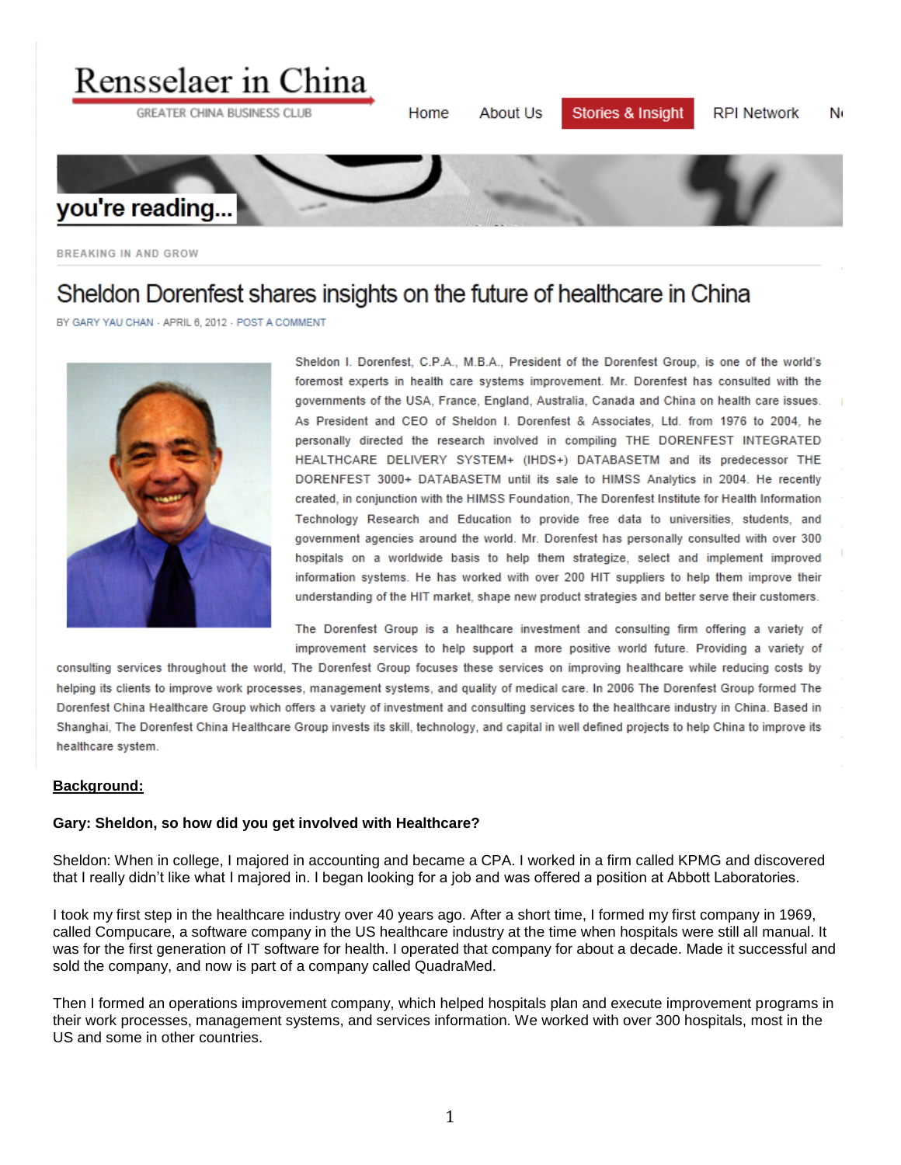

**BREAKING IN AND GROW** 

# Sheldon Dorenfest shares insights on the future of healthcare in China

BY GARY YAU CHAN - APRIL 6, 2012 - POST A COMMENT



Sheldon I. Dorenfest, C.P.A., M.B.A., President of the Dorenfest Group, is one of the world's foremost experts in health care systems improvement. Mr. Dorenfest has consulted with the governments of the USA, France, England, Australia, Canada and China on health care issues. As President and CEO of Sheldon I. Dorenfest & Associates, Ltd. from 1976 to 2004, he personally directed the research involved in compiling THE DORENFEST INTEGRATED HEALTHCARE DELIVERY SYSTEM+ (IHDS+) DATABASETM and its predecessor THE DORENFEST 3000+ DATABASETM until its sale to HIMSS Analytics in 2004. He recently created, in conjunction with the HIMSS Foundation, The Dorenfest Institute for Health Information Technology Research and Education to provide free data to universities, students, and government agencies around the world. Mr. Dorenfest has personally consulted with over 300 hospitals on a worldwide basis to help them strategize, select and implement improved information systems. He has worked with over 200 HIT suppliers to help them improve their understanding of the HIT market, shape new product strategies and better serve their customers.

The Dorenfest Group is a healthcare investment and consulting firm offering a variety of improvement services to help support a more positive world future. Providing a variety of

consulting services throughout the world, The Dorenfest Group focuses these services on improving healthcare while reducing costs by helping its clients to improve work processes, management systems, and quality of medical care. In 2006 The Dorenfest Group formed The Dorenfest China Healthcare Group which offers a variety of investment and consulting services to the healthcare industry in China. Based in Shanghai, The Dorenfest China Healthcare Group invests its skill, technology, and capital in well defined projects to help China to improve its healthcare system.

#### **Background:**

#### **Gary: Sheldon, so how did you get involved with Healthcare?**

Sheldon: When in college, I majored in accounting and became a CPA. I worked in a firm called KPMG and discovered that I really didn't like what I majored in. I began looking for a job and was offered a position at Abbott Laboratories.

I took my first step in the healthcare industry over 40 years ago. After a short time, I formed my first company in 1969, called Compucare, a software company in the US healthcare industry at the time when hospitals were still all manual. It was for the first generation of IT software for health. I operated that company for about a decade. Made it successful and sold the company, and now is part of a company called QuadraMed.

Then I formed an operations improvement company, which helped hospitals plan and execute improvement programs in their work processes, management systems, and services information. We worked with over 300 hospitals, most in the US and some in other countries.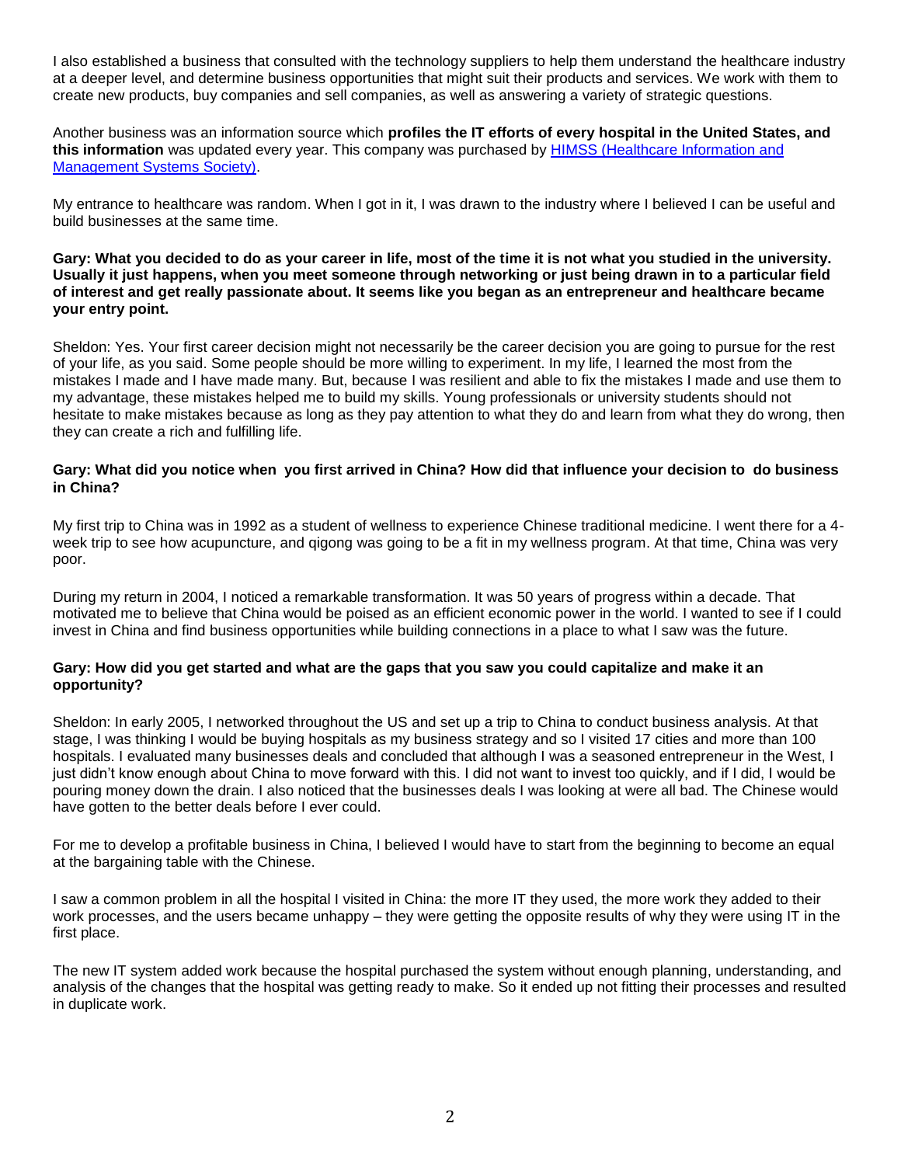I also established a business that consulted with the technology suppliers to help them understand the healthcare industry at a deeper level, and determine business opportunities that might suit their products and services. We work with them to create new products, buy companies and sell companies, as well as answering a variety of strategic questions.

Another business was an information source which **profiles the IT efforts of every hospital in the United States, and this information** was updated every year. This company was purchased by [HIMSS \(Healthcare Information](http://www.himss.org/) and [Management Systems Society\).](http://www.himss.org/)

My entrance to healthcare was random. When I got in it, I was drawn to the industry where I believed I can be useful and build businesses at the same time.

#### **Gary: What you decided to do as your career in life, most of the time it is not what you studied in the university. Usually it just happens, when you meet someone through networking or just being drawn in to a particular field of interest and get really passionate about. It seems like you began as an entrepreneur and healthcare became your entry point.**

Sheldon: Yes. Your first career decision might not necessarily be the career decision you are going to pursue for the rest of your life, as you said. Some people should be more willing to experiment. In my life, I learned the most from the mistakes I made and I have made many. But, because I was resilient and able to fix the mistakes I made and use them to my advantage, these mistakes helped me to build my skills. Young professionals or university students should not hesitate to make mistakes because as long as they pay attention to what they do and learn from what they do wrong, then they can create a rich and fulfilling life.

# Gary: What did you notice when you first arrived in China? How did that influence your decision to do business **in China?**

My first trip to China was in 1992 as a student of wellness to experience Chinese traditional medicine. I went there for a 4 week trip to see how acupuncture, and qigong was going to be a fit in my wellness program. At that time, China was very poor.

During my return in 2004, I noticed a remarkable transformation. It was 50 years of progress within a decade. That motivated me to believe that China would be poised as an efficient economic power in the world. I wanted to see if I could invest in China and find business opportunities while building connections in a place to what I saw was the future.

## **Gary: How did you get started and what are the gaps that you saw you could capitalize and make it an opportunity?**

Sheldon: In early 2005, I networked throughout the US and set up a trip to China to conduct business analysis. At that stage, I was thinking I would be buying hospitals as my business strategy and so I visited 17 cities and more than 100 hospitals. I evaluated many businesses deals and concluded that although I was a seasoned entrepreneur in the West, I just didn't know enough about China to move forward with this. I did not want to invest too quickly, and if I did, I would be pouring money down the drain. I also noticed that the businesses deals I was looking at were all bad. The Chinese would have gotten to the better deals before I ever could.

For me to develop a profitable business in China, I believed I would have to start from the beginning to become an equal at the bargaining table with the Chinese.

I saw a common problem in all the hospital I visited in China: the more IT they used, the more work they added to their work processes, and the users became unhappy – they were getting the opposite results of why they were using IT in the first place.

The new IT system added work because the hospital purchased the system without enough planning, understanding, and analysis of the changes that the hospital was getting ready to make. So it ended up not fitting their processes and resulted in duplicate work.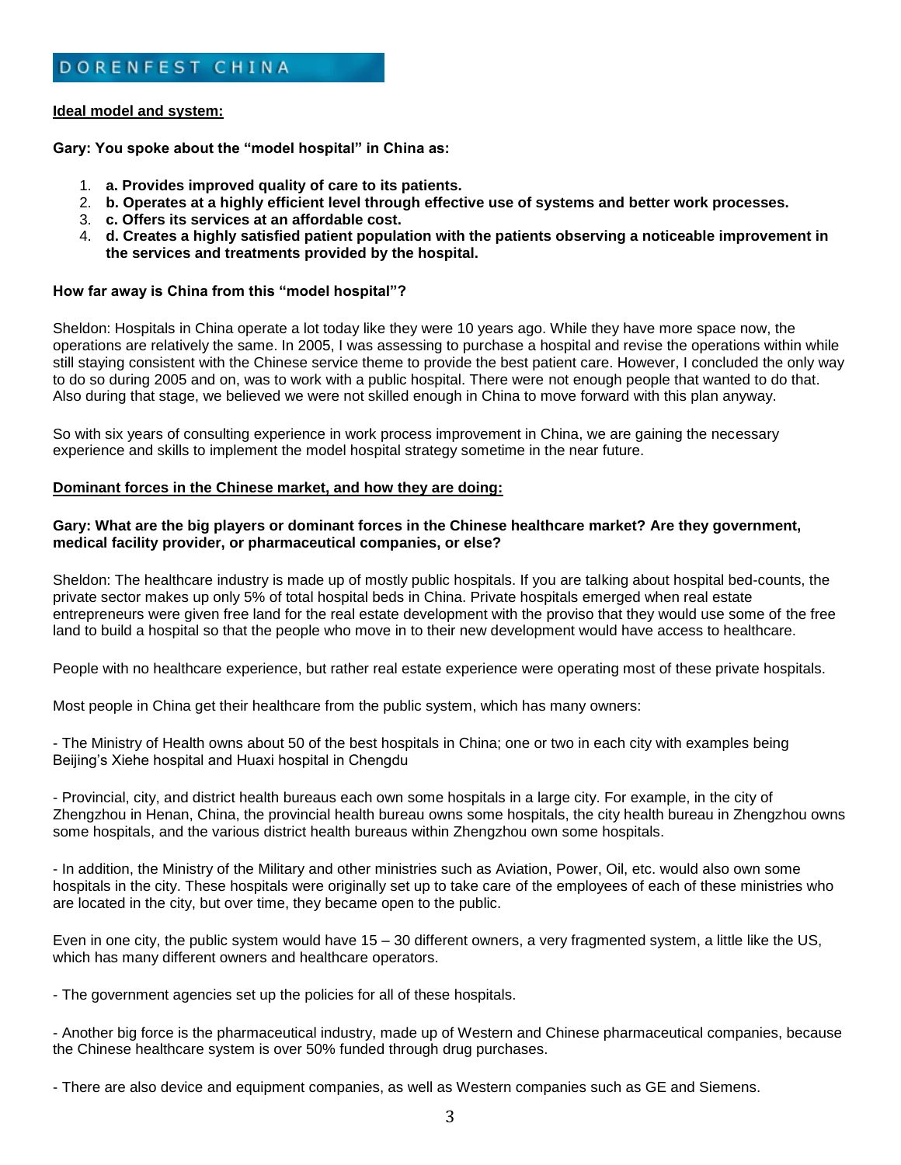#### **Ideal model and system:**

**Gary: You spoke about the "model hospital" in China as:**

- 1. **a. Provides improved quality of care to its patients.**
- 2. **b. Operates at a highly efficient level through effective use of systems and better work processes.**
- 3. **c. Offers its services at an affordable cost.**
- 4. **d. Creates a highly satisfied patient population with the patients observing a noticeable improvement in the services and treatments provided by the hospital.**

#### **How far away is China from this "model hospital"?**

Sheldon: Hospitals in China operate a lot today like they were 10 years ago. While they have more space now, the operations are relatively the same. In 2005, I was assessing to purchase a hospital and revise the operations within while still staying consistent with the Chinese service theme to provide the best patient care. However, I concluded the only way to do so during 2005 and on, was to work with a public hospital. There were not enough people that wanted to do that. Also during that stage, we believed we were not skilled enough in China to move forward with this plan anyway.

So with six years of consulting experience in work process improvement in China, we are gaining the necessary experience and skills to implement the model hospital strategy sometime in the near future.

#### **Dominant forces in the Chinese market, and how they are doing:**

## **Gary: What are the big players or dominant forces in the Chinese healthcare market? Are they government, medical facility provider, or pharmaceutical companies, or else?**

Sheldon: The healthcare industry is made up of mostly public hospitals. If you are talking about hospital bed-counts, the private sector makes up only 5% of total hospital beds in China. Private hospitals emerged when real estate entrepreneurs were given free land for the real estate development with the proviso that they would use some of the free land to build a hospital so that the people who move in to their new development would have access to healthcare.

People with no healthcare experience, but rather real estate experience were operating most of these private hospitals.

Most people in China get their healthcare from the public system, which has many owners:

- The Ministry of Health owns about 50 of the best hospitals in China; one or two in each city with examples being Beijing's Xiehe hospital and Huaxi hospital in Chengdu

- Provincial, city, and district health bureaus each own some hospitals in a large city. For example, in the city of Zhengzhou in Henan, China, the provincial health bureau owns some hospitals, the city health bureau in Zhengzhou owns some hospitals, and the various district health bureaus within Zhengzhou own some hospitals.

- In addition, the Ministry of the Military and other ministries such as Aviation, Power, Oil, etc. would also own some hospitals in the city. These hospitals were originally set up to take care of the employees of each of these ministries who are located in the city, but over time, they became open to the public.

Even in one city, the public system would have 15 – 30 different owners, a very fragmented system, a little like the US, which has many different owners and healthcare operators.

- The government agencies set up the policies for all of these hospitals.

- Another big force is the pharmaceutical industry, made up of Western and Chinese pharmaceutical companies, because the Chinese healthcare system is over 50% funded through drug purchases.

- There are also device and equipment companies, as well as Western companies such as GE and Siemens.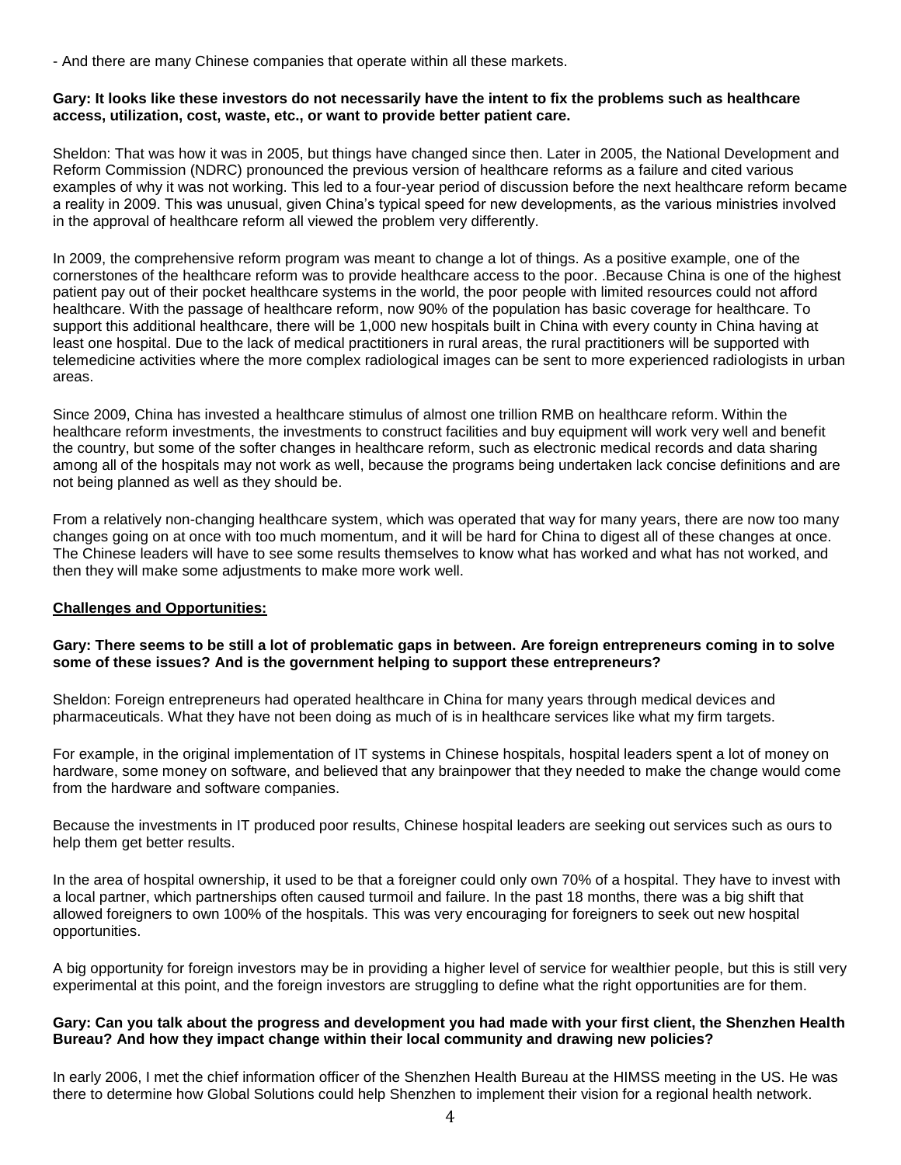- And there are many Chinese companies that operate within all these markets.

## **Gary: It looks like these investors do not necessarily have the intent to fix the problems such as healthcare access, utilization, cost, waste, etc., or want to provide better patient care.**

Sheldon: That was how it was in 2005, but things have changed since then. Later in 2005, the National Development and Reform Commission (NDRC) pronounced the previous version of healthcare reforms as a failure and cited various examples of why it was not working. This led to a four-year period of discussion before the next healthcare reform became a reality in 2009. This was unusual, given China's typical speed for new developments, as the various ministries involved in the approval of healthcare reform all viewed the problem very differently.

In 2009, the comprehensive reform program was meant to change a lot of things. As a positive example, one of the cornerstones of the healthcare reform was to provide healthcare access to the poor. .Because China is one of the highest patient pay out of their pocket healthcare systems in the world, the poor people with limited resources could not afford healthcare. With the passage of healthcare reform, now 90% of the population has basic coverage for healthcare. To support this additional healthcare, there will be 1,000 new hospitals built in China with every county in China having at least one hospital. Due to the lack of medical practitioners in rural areas, the rural practitioners will be supported with telemedicine activities where the more complex radiological images can be sent to more experienced radiologists in urban areas.

Since 2009, China has invested a healthcare stimulus of almost one trillion RMB on healthcare reform. Within the healthcare reform investments, the investments to construct facilities and buy equipment will work very well and benefit the country, but some of the softer changes in healthcare reform, such as electronic medical records and data sharing among all of the hospitals may not work as well, because the programs being undertaken lack concise definitions and are not being planned as well as they should be.

From a relatively non-changing healthcare system, which was operated that way for many years, there are now too many changes going on at once with too much momentum, and it will be hard for China to digest all of these changes at once. The Chinese leaders will have to see some results themselves to know what has worked and what has not worked, and then they will make some adjustments to make more work well.

# **Challenges and Opportunities:**

## **Gary: There seems to be still a lot of problematic gaps in between. Are foreign entrepreneurs coming in to solve some of these issues? And is the government helping to support these entrepreneurs?**

Sheldon: Foreign entrepreneurs had operated healthcare in China for many years through medical devices and pharmaceuticals. What they have not been doing as much of is in healthcare services like what my firm targets.

For example, in the original implementation of IT systems in Chinese hospitals, hospital leaders spent a lot of money on hardware, some money on software, and believed that any brainpower that they needed to make the change would come from the hardware and software companies.

Because the investments in IT produced poor results, Chinese hospital leaders are seeking out services such as ours to help them get better results.

In the area of hospital ownership, it used to be that a foreigner could only own 70% of a hospital. They have to invest with a local partner, which partnerships often caused turmoil and failure. In the past 18 months, there was a big shift that allowed foreigners to own 100% of the hospitals. This was very encouraging for foreigners to seek out new hospital opportunities.

A big opportunity for foreign investors may be in providing a higher level of service for wealthier people, but this is still very experimental at this point, and the foreign investors are struggling to define what the right opportunities are for them.

## **Gary: Can you talk about the progress and development you had made with your first client, the Shenzhen Health Bureau? And how they impact change within their local community and drawing new policies?**

In early 2006, I met the chief information officer of the Shenzhen Health Bureau at the HIMSS meeting in the US. He was there to determine how Global Solutions could help Shenzhen to implement their vision for a regional health network.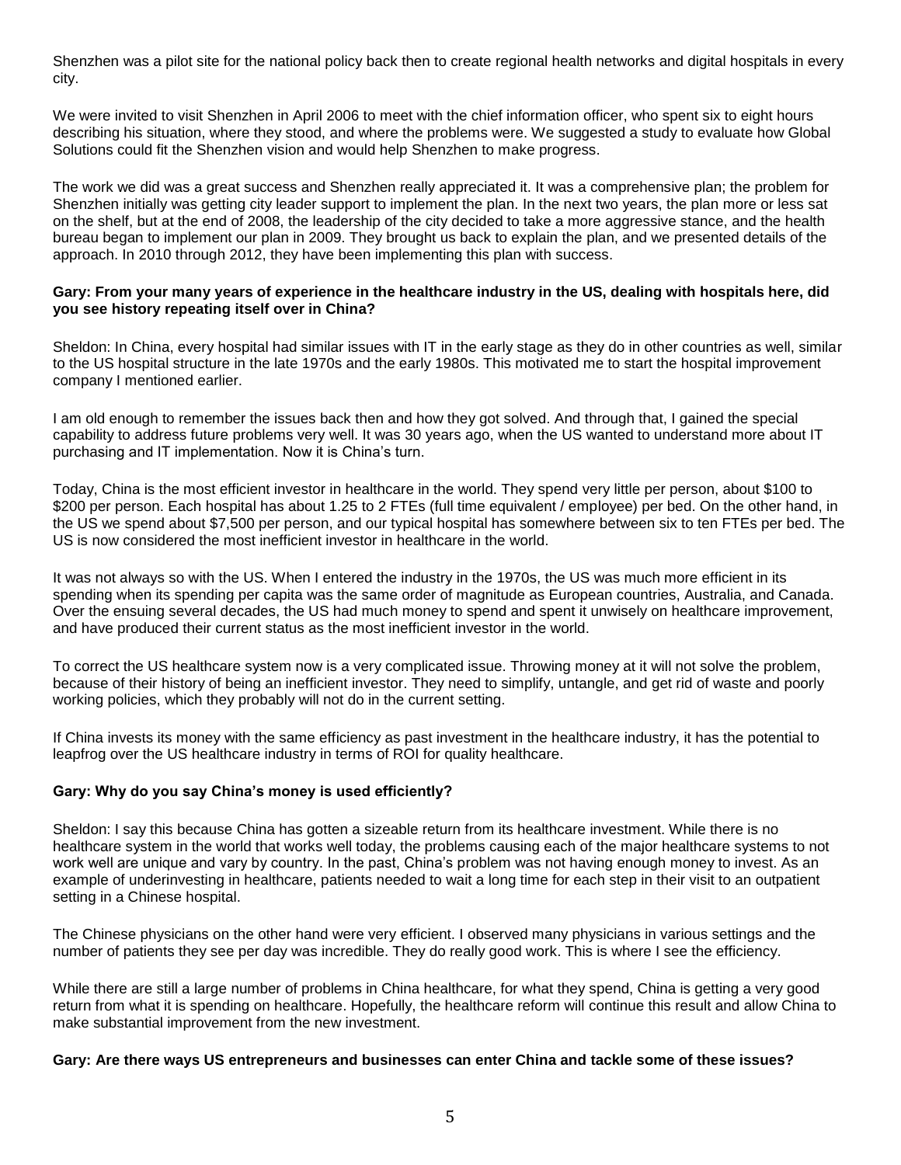Shenzhen was a pilot site for the national policy back then to create regional health networks and digital hospitals in every city.

We were invited to visit Shenzhen in April 2006 to meet with the chief information officer, who spent six to eight hours describing his situation, where they stood, and where the problems were. We suggested a study to evaluate how Global Solutions could fit the Shenzhen vision and would help Shenzhen to make progress.

The work we did was a great success and Shenzhen really appreciated it. It was a comprehensive plan; the problem for Shenzhen initially was getting city leader support to implement the plan. In the next two years, the plan more or less sat on the shelf, but at the end of 2008, the leadership of the city decided to take a more aggressive stance, and the health bureau began to implement our plan in 2009. They brought us back to explain the plan, and we presented details of the approach. In 2010 through 2012, they have been implementing this plan with success.

## **Gary: From your many years of experience in the healthcare industry in the US, dealing with hospitals here, did you see history repeating itself over in China?**

Sheldon: In China, every hospital had similar issues with IT in the early stage as they do in other countries as well, similar to the US hospital structure in the late 1970s and the early 1980s. This motivated me to start the hospital improvement company I mentioned earlier.

I am old enough to remember the issues back then and how they got solved. And through that, I gained the special capability to address future problems very well. It was 30 years ago, when the US wanted to understand more about IT purchasing and IT implementation. Now it is China's turn.

Today, China is the most efficient investor in healthcare in the world. They spend very little per person, about \$100 to \$200 per person. Each hospital has about 1.25 to 2 FTEs (full time equivalent / employee) per bed. On the other hand, in the US we spend about \$7,500 per person, and our typical hospital has somewhere between six to ten FTEs per bed. The US is now considered the most inefficient investor in healthcare in the world.

It was not always so with the US. When I entered the industry in the 1970s, the US was much more efficient in its spending when its spending per capita was the same order of magnitude as European countries, Australia, and Canada. Over the ensuing several decades, the US had much money to spend and spent it unwisely on healthcare improvement, and have produced their current status as the most inefficient investor in the world.

To correct the US healthcare system now is a very complicated issue. Throwing money at it will not solve the problem, because of their history of being an inefficient investor. They need to simplify, untangle, and get rid of waste and poorly working policies, which they probably will not do in the current setting.

If China invests its money with the same efficiency as past investment in the healthcare industry, it has the potential to leapfrog over the US healthcare industry in terms of ROI for quality healthcare.

# **Gary: Why do you say China's money is used efficiently?**

Sheldon: I say this because China has gotten a sizeable return from its healthcare investment. While there is no healthcare system in the world that works well today, the problems causing each of the major healthcare systems to not work well are unique and vary by country. In the past, China's problem was not having enough money to invest. As an example of underinvesting in healthcare, patients needed to wait a long time for each step in their visit to an outpatient setting in a Chinese hospital.

The Chinese physicians on the other hand were very efficient. I observed many physicians in various settings and the number of patients they see per day was incredible. They do really good work. This is where I see the efficiency.

While there are still a large number of problems in China healthcare, for what they spend, China is getting a very good return from what it is spending on healthcare. Hopefully, the healthcare reform will continue this result and allow China to make substantial improvement from the new investment.

## **Gary: Are there ways US entrepreneurs and businesses can enter China and tackle some of these issues?**